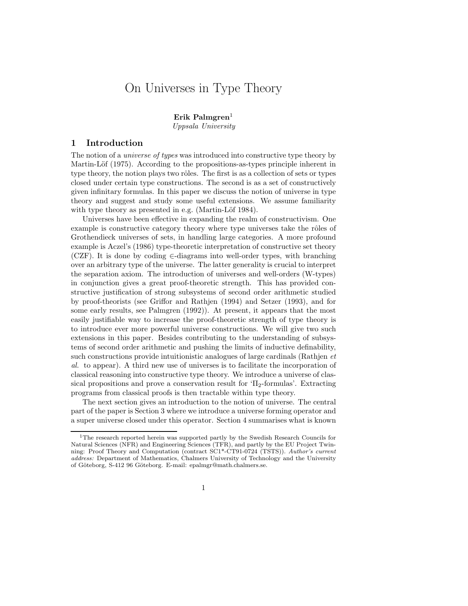# On Universes in Type Theory

Erik Palmgren<sup>1</sup>

Uppsala University

### 1 Introduction

The notion of a universe of types was introduced into constructive type theory by Martin-Löf (1975). According to the propositions-as-types principle inherent in type theory, the notion plays two rôles. The first is as a collection of sets or types closed under certain type constructions. The second is as a set of constructively given infinitary formulas. In this paper we discuss the notion of universe in type theory and suggest and study some useful extensions. We assume familiarity with type theory as presented in e.g. (Martin-Löf 1984).

Universes have been effective in expanding the realm of constructivism. One example is constructive category theory where type universes take the rôles of Grothendieck universes of sets, in handling large categories. A more profound example is Aczel's (1986) type-theoretic interpretation of constructive set theory (CZF). It is done by coding  $\in$ -diagrams into well-order types, with branching over an arbitrary type of the universe. The latter generality is crucial to interpret the separation axiom. The introduction of universes and well-orders (W-types) in conjunction gives a great proof-theoretic strength. This has provided constructive justification of strong subsystems of second order arithmetic studied by proof-theorists (see Griffor and Rathjen (1994) and Setzer (1993), and for some early results, see Palmgren (1992)). At present, it appears that the most easily justifiable way to increase the proof-theoretic strength of type theory is to introduce ever more powerful universe constructions. We will give two such extensions in this paper. Besides contributing to the understanding of subsystems of second order arithmetic and pushing the limits of inductive definability, such constructions provide intuitionistic analogues of large cardinals (Rathjen et al. to appear). A third new use of universes is to facilitate the incorporation of classical reasoning into constructive type theory. We introduce a universe of classical propositions and prove a conservation result for  $T_{2}$ -formulas'. Extracting programs from classical proofs is then tractable within type theory.

The next section gives an introduction to the notion of universe. The central part of the paper is Section 3 where we introduce a universe forming operator and a super universe closed under this operator. Section 4 summarises what is known

1

<sup>1</sup>The research reported herein was supported partly by the Swedish Research Councils for Natural Sciences (NFR) and Engineering Sciences (TFR), and partly by the EU Project Twinning: Proof Theory and Computation (contract SC1\*-CT91-0724 (TSTS)). Author's current address: Department of Mathematics, Chalmers University of Technology and the University of Göteborg, S-412 96 Göteborg. E-mail: epalmgr@math.chalmers.se.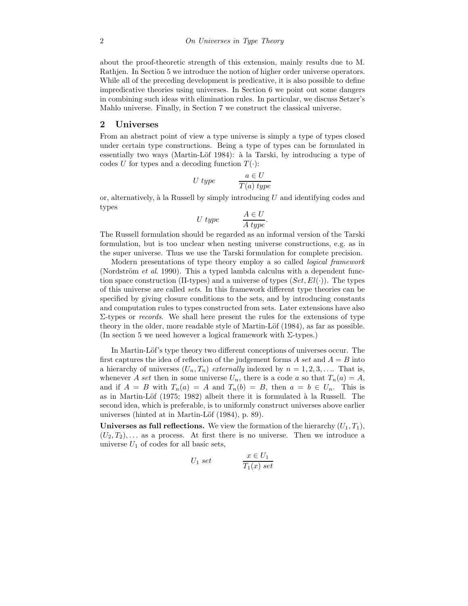about the proof-theoretic strength of this extension, mainly results due to M. Rathjen. In Section 5 we introduce the notion of higher order universe operators. While all of the preceding development is predicative, it is also possible to define impredicative theories using universes. In Section 6 we point out some dangers in combining such ideas with elimination rules. In particular, we discuss Setzer's Mahlo universe. Finally, in Section 7 we construct the classical universe.

#### 2 Universes

From an abstract point of view a type universe is simply a type of types closed under certain type constructions. Being a type of types can be formulated in essentially two ways (Martin-Löf 1984): à la Tarski, by introducing a type of codes U for types and a decoding function  $T(\cdot)$ :

$$
U \text{ type} \qquad \qquad \frac{a \in U}{T(a) \text{ type}}
$$

or, alternatively,  $\alpha$  la Russell by simply introducing U and identifying codes and types

$$
U \text{ type } \qquad \frac{A \in U}{A \text{ type}}.
$$

The Russell formulation should be regarded as an informal version of the Tarski formulation, but is too unclear when nesting universe constructions, e.g. as in the super universe. Thus we use the Tarski formulation for complete precision.

Modern presentations of type theory employ a so called logical framework (Nordström et al. 1990). This a typed lambda calculus with a dependent function space construction ( $\Pi$ -types) and a universe of types  $(Set, El(\cdot))$ . The types of this universe are called sets. In this framework different type theories can be specified by giving closure conditions to the sets, and by introducing constants and computation rules to types constructed from sets. Later extensions have also  $Σ$ -types or *records*. We shall here present the rules for the extensions of type theory in the older, more readable style of Martin-Löf (1984), as far as possible. (In section 5 we need however a logical framework with  $\Sigma$ -types.)

In Martin-Löf's type theory two different conceptions of universes occur. The first captures the idea of reflection of the judgement forms A set and  $A = B$  into a hierarchy of universes  $(U_n, T_n)$  externally indexed by  $n = 1, 2, 3, \ldots$  That is, whenever A set then in some universe  $U_n$ , there is a code a so that  $T_n(a) = A$ , and if  $A = B$  with  $T_n(a) = A$  and  $T_n(b) = B$ , then  $a = b \in U_n$ . This is as in Martin-Löf (1975; 1982) albeit there it is formulated à la Russell. The second idea, which is preferable, is to uniformly construct universes above earlier universes (hinted at in Martin-Löf  $(1984)$ , p. 89).

Universes as full reflections. We view the formation of the hierarchy  $(U_1, T_1)$ ,  $(U_2, T_2), \ldots$  as a process. At first there is no universe. Then we introduce a universe  $U_1$  of codes for all basic sets,

$$
U_1 \ set \qquad \qquad \frac{x \in U_1}{T_1(x) \ set}
$$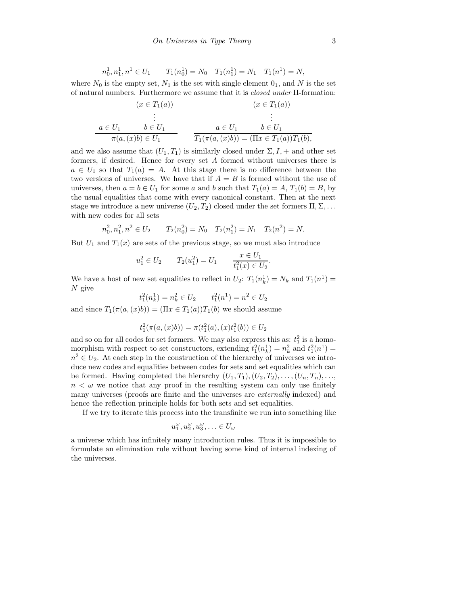$$
n_0^1, n_1^1, n^1 \in U_1 \qquad T_1(n_0^1) = N_0 \quad T_1(n_1^1) = N_1 \quad T_1(n^1) = N,
$$

where  $N_0$  is the empty set,  $N_1$  is the set with single element  $0_1$ , and N is the set of natural numbers. Furthermore we assume that it is closed under Π-formation:

$$
(x \in T_1(a)) \qquad (x \in T_1(a))
$$
  
\n
$$
\vdots
$$
  
\n
$$
a \in U_1 \qquad b \in U_1
$$
  
\n
$$
\pi(a, (x)b) \in U_1 \qquad \pi_1(\pi(a, (x)b)) = (\Pi x \in T_1(a))T_1(b),
$$

and we also assume that  $(U_1, T_1)$  is similarly closed under  $\Sigma, I, +$  and other set formers, if desired. Hence for every set A formed without universes there is  $a \in U_1$  so that  $T_1(a) = A$ . At this stage there is no difference between the two versions of universes. We have that if  $A = B$  is formed without the use of universes, then  $a = b \in U_1$  for some a and b such that  $T_1(a) = A$ ,  $T_1(b) = B$ , by the usual equalities that come with every canonical constant. Then at the next stage we introduce a new universe  $(U_2, T_2)$  closed under the set formers  $\Pi, \Sigma, \ldots$ with new codes for all sets

$$
n_0^2, n_1^2, n^2 \in U_2
$$
  $T_2(n_0^2) = N_0$   $T_2(n_1^2) = N_1$   $T_2(n^2) = N$ .

But  $U_1$  and  $T_1(x)$  are sets of the previous stage, so we must also introduce

$$
u_1^2 \in U_2
$$
  $T_2(u_1^2) = U_1$   $\frac{x \in U_1}{t_1^2(x) \in U_2}$ .

We have a host of new set equalities to reflect in  $U_2$ :  $T_1(n_k^1) = N_k$  and  $T_1(n^1) =$ N give

 $t_1^2(n_k^1) = n_k^2 \in U_2$   $t_1^2(n^1) = n^2 \in U_2$ 

and since  $T_1(\pi(a,(x)b)) = (\Pi x \in T_1(a))T_1(b)$  we should assume

$$
t_1^2(\pi(a,(x)b)) = \pi(t_1^2(a),(x)t_1^2(b)) \in U_2
$$

and so on for all codes for set formers. We may also express this as:  $t_1^2$  is a homomorphism with respect to set constructors, extending  $t_1^2(n_k^1) = n_k^2$  and  $t_1^2(n^1) =$  $n^2 \in U_2$ . At each step in the construction of the hierarchy of universes we introduce new codes and equalities between codes for sets and set equalities which can be formed. Having completed the hierarchy  $(U_1, T_1), (U_2, T_2), \ldots, (U_n, T_n), \ldots$  $n < \omega$  we notice that any proof in the resulting system can only use finitely many universes (proofs are finite and the universes are externally indexed) and hence the reflection principle holds for both sets and set equalities.

If we try to iterate this process into the transfinite we run into something like

$$
u_1^{\omega}, u_2^{\omega}, u_3^{\omega}, \ldots \in U_{\omega}
$$

a universe which has infinitely many introduction rules. Thus it is impossible to formulate an elimination rule without having some kind of internal indexing of the universes.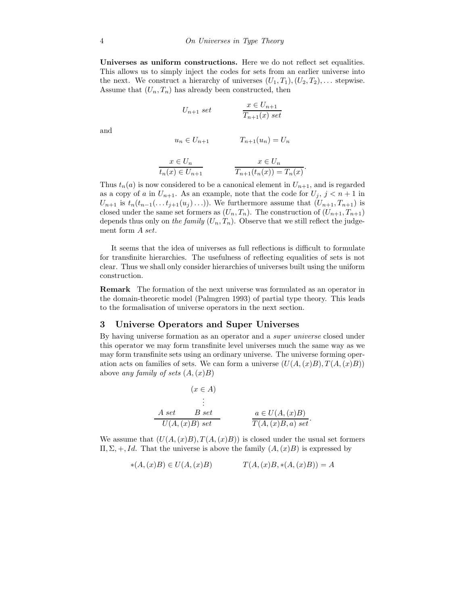Universes as uniform constructions. Here we do not reflect set equalities. This allows us to simply inject the codes for sets from an earlier universe into the next. We construct a hierarchy of universes  $(U_1, T_1), (U_2, T_2), \ldots$  stepwise. Assume that  $(U_n, T_n)$  has already been constructed, then

$$
U_{n+1} set \qquad \qquad \frac{x \in U_{n+1}}{T_{n+1}(x) \ set}
$$

and

$$
u_n \in U_{n+1} \qquad T_{n+1}(u_n) = U_n
$$

$$
x \in U_n
$$
  
\n
$$
t_n(x) \in U_{n+1}
$$
  
\n
$$
x \in U_n
$$
  
\n
$$
T_{n+1}(t_n(x)) = T_n(x).
$$

Thus  $t_n(a)$  is now considered to be a canonical element in  $U_{n+1}$ , and is regarded as a copy of a in  $U_{n+1}$ . As an example, note that the code for  $U_j$ ,  $j < n+1$  in  $U_{n+1}$  is  $t_n(t_{n-1}(\ldots t_{j+1}(u_j)\ldots))$ . We furthermore assume that  $(U_{n+1}, T_{n+1})$  is closed under the same set formers as  $(U_n, T_n)$ . The construction of  $(U_{n+1}, T_{n+1})$ depends thus only on the family  $(U_n, T_n)$ . Observe that we still reflect the judgement form A set.

It seems that the idea of universes as full reflections is difficult to formulate for transfinite hierarchies. The usefulness of reflecting equalities of sets is not clear. Thus we shall only consider hierarchies of universes built using the uniform construction.

Remark The formation of the next universe was formulated as an operator in the domain-theoretic model (Palmgren 1993) of partial type theory. This leads to the formalisation of universe operators in the next section.

#### 3 Universe Operators and Super Universes

By having universe formation as an operator and a super universe closed under this operator we may form transfinite level universes much the same way as we may form transfinite sets using an ordinary universe. The universe forming operation acts on families of sets. We can form a universe  $(U(A,(x)B), T(A,(x)B))$ above any family of sets  $(A,(x)B)$ 

|                 | $(x \in A)$      |                   |
|-----------------|------------------|-------------------|
|                 |                  |                   |
| A set           | B <sub>set</sub> | $a\in U(A,(x)B)$  |
| $U(A,(x)B)$ set |                  | $T(A,(x)B,a)$ set |

We assume that  $(U(A,(x)B), T(A,(x)B))$  is closed under the usual set formers  $\Pi$ , Σ, +, *Id*. That the universe is above the family  $(A, (x)B)$  is expressed by

$$
*(A, (x)B) \in U(A, (x)B) \qquad T(A, (x)B, *(A, (x)B)) = A
$$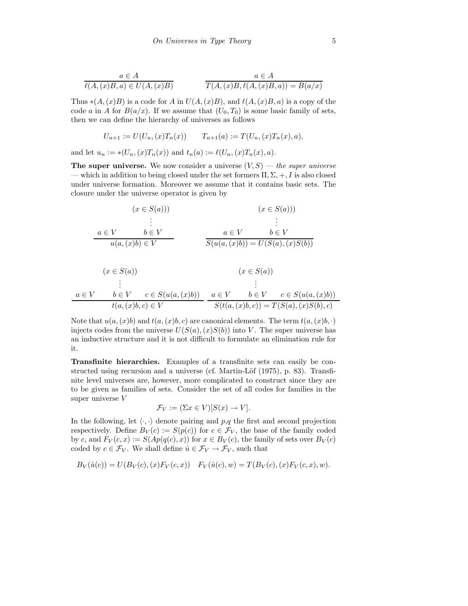$$
a \in A
$$
  

$$
\ell(A,(x)B,a) \in U(A,(x)B)
$$
  

$$
a \in A
$$
  

$$
T(A,(x)B,\ell(A,(x)B,a)) = B(a/x)
$$

Thus  $*(A,(x)B)$  is a code for A in  $U(A,(x)B)$ , and  $\ell(A,(x)B,a)$  is a copy of the code a in A for  $B(a/x)$ . If we assume that  $(U_0, T_0)$  is some basic family of sets, then we can define the hierarchy of universes as follows

$$
U_{n+1} := U(U_n, (x)T_n(x)) \qquad T_{n+1}(a) := T(U_n, (x)T_n(x), a),
$$

and let  $u_n := *(U_n,(x)T_n(x))$  and  $t_n(a) := \ell(U_n,(x)T_n(x),a)$ .

The super universe. We now consider a universe  $(V, S)$  — the super universe — which in addition to being closed under the set formers  $\Pi, \Sigma, +, I$  is also closed under universe formation. Moreover we assume that it contains basic sets. The closure under the universe operator is given by

$$
(x \in S(a))) \qquad (x \in S(a)))
$$
  
\n
$$
\vdots
$$
  
\n
$$
a \in V \qquad b \in V \qquad a \in V \qquad b \in V
$$
  
\n
$$
u(a,(x)b) \in V \qquad \qquad \overline{S(u(a,(x)b)) = U(S(a),(x)S(b))}
$$

$$
(x \in S(a))
$$
\n
$$
\vdots
$$
\n
$$
a \in V \qquad b \in V \qquad c \in S(u(a,(x)b))
$$
\n
$$
t(a,(x)b,c) \in V \qquad a \in V \qquad b \in V \qquad c \in S(u(a,(x)b))
$$
\n
$$
S(t(a,(x)b,c)) = T(S(a),(x)S(b),c)
$$

Note that  $u(a,(x)b)$  and  $t(a,(x)b, c)$  are canonical elements. The term  $t(a,(x)b, \cdot)$ injects codes from the universe  $U(S(a), (x)S(b))$  into V. The super universe has an inductive structure and it is not difficult to formulate an elimination rule for it.

Transfinite hierarchies. Examples of a transfinite sets can easily be constructed using recursion and a universe (cf. Martin-Löf  $(1975)$ , p. 83). Transfinite level universes are, however, more complicated to construct since they are to be given as families of sets. Consider the set of all codes for families in the super universe V

$$
\mathcal{F}_V := (\Sigma x \in V)[S(x) \to V].
$$

In the following, let  $\langle \cdot, \cdot \rangle$  denote pairing and p,q the first and second projection respectively. Define  $B_V(c) := S(p(c))$  for  $c \in \mathcal{F}_V$ , the base of the family coded by c, and  $F_V(c, x) := S(Ap(q(c), x))$  for  $x \in B_V(c)$ , the family of sets over  $B_V(c)$ coded by  $c \in \mathcal{F}_V$ . We shall define  $\hat{u} \in \mathcal{F}_V \to \mathcal{F}_V$ , such that

$$
B_V(\hat{u}(c)) = U(B_V(c), (x)F_V(c, x)) \quad F_V(\hat{u}(c), w) = T(B_V(c), (x)F_V(c, x), w).
$$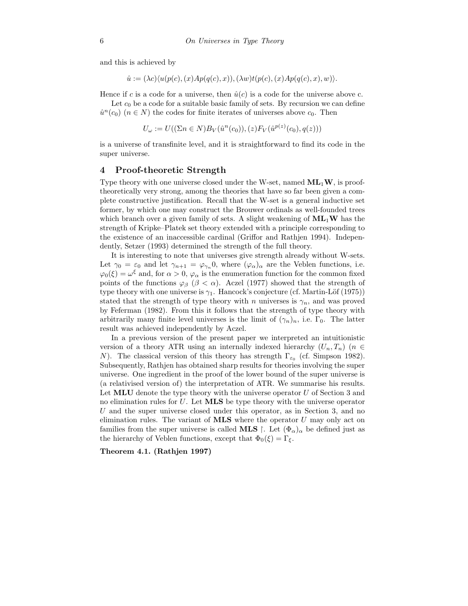and this is achieved by

$$
\hat{u} := (\lambda c) \langle u(p(c), (x)Ap(q(c), x)), (\lambda w)t(p(c), (x)Ap(q(c), x), w) \rangle.
$$

Hence if c is a code for a universe, then  $\hat{u}(c)$  is a code for the universe above c.

Let  $c_0$  be a code for a suitable basic family of sets. By recursion we can define  $\hat{u}^n(c_0)$   $(n \in N)$  the codes for finite iterates of universes above  $c_0$ . Then

$$
U_{\omega} := U((\Sigma n \in N)B_V(\hat{u}^n(c_0)),(z)F_V(\hat{u}^{p(z)}(c_0),q(z)))
$$

is a universe of transfinite level, and it is straightforward to find its code in the super universe.

## 4 Proof-theoretic Strength

Type theory with one universe closed under the W-set, named  $ML_1W$ , is prooftheoretically very strong, among the theories that have so far been given a complete constructive justification. Recall that the W-set is a general inductive set former, by which one may construct the Brouwer ordinals as well-founded trees which branch over a given family of sets. A slight weakening of  $ML_1W$  has the strength of Kripke–Platek set theory extended with a principle corresponding to the existence of an inaccessible cardinal (Griffor and Rathjen 1994). Independently, Setzer (1993) determined the strength of the full theory.

It is interesting to note that universes give strength already without W-sets. Let  $\gamma_0 = \varepsilon_0$  and let  $\gamma_{n+1} = \varphi_{\gamma_n} 0$ , where  $(\varphi_\alpha)_\alpha$  are the Veblen functions, i.e.  $\varphi_0(\xi) = \omega^{\xi}$  and, for  $\alpha > 0$ ,  $\varphi_{\alpha}$  is the enumeration function for the common fixed points of the functions  $\varphi_{\beta}$  ( $\beta < \alpha$ ). Aczel (1977) showed that the strength of type theory with one universe is  $\gamma_1$ . Hancock's conjecture (cf. Martin-Löf (1975)) stated that the strength of type theory with n universes is  $\gamma_n$ , and was proved by Feferman (1982). From this it follows that the strength of type theory with arbitrarily many finite level universes is the limit of  $(\gamma_n)_n$ , i.e.  $\Gamma_0$ . The latter result was achieved independently by Aczel.

In a previous version of the present paper we interpreted an intuitionistic version of a theory ATR using an internally indexed hierarchy  $(U_n, T_n)$  ( $n \in$ N). The classical version of this theory has strength  $\Gamma_{\varepsilon_0}$  (cf. Simpson 1982). Subsequently, Rathjen has obtained sharp results for theories involving the super universe. One ingredient in the proof of the lower bound of the super universe is (a relativised version of) the interpretation of ATR. We summarise his results. Let  $MLU$  denote the type theory with the universe operator U of Section 3 and no elimination rules for U. Let  $MLS$  be type theory with the universe operator U and the super universe closed under this operator, as in Section 3, and no elimination rules. The variant of  $MLS$  where the operator  $U$  may only act on families from the super universe is called **MLS**  $\vert$ . Let  $(\Phi_{\alpha})_{\alpha}$  be defined just as the hierarchy of Veblen functions, except that  $\Phi_0(\xi) = \Gamma_{\xi}$ .

Theorem 4.1. (Rathjen 1997)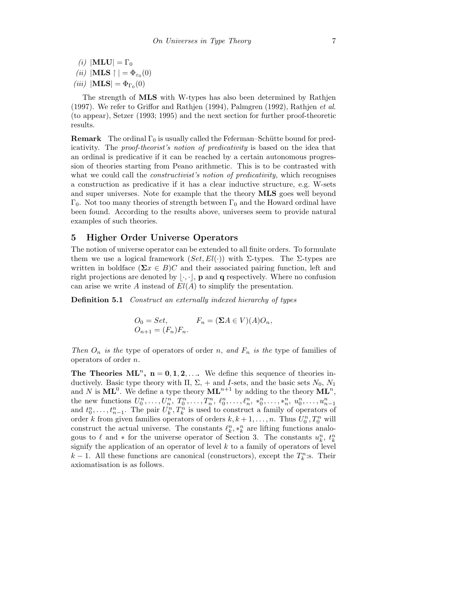(i)  $|\textbf{MLU}| = \Gamma_0$ (*ii*)  $|\textbf{MLS} \upharpoonright| = \Phi_{\varepsilon_0}(0)$ (*iii*)  $|\textbf{MLS}| = \Phi_{\Gamma_0}(0)$ 

The strength of MLS with W-types has also been determined by Rathjen (1997). We refer to Griffor and Rathjen (1994), Palmgren (1992), Rathjen et al. (to appear), Setzer (1993; 1995) and the next section for further proof-theoretic results.

**Remark** The ordinal  $\Gamma_0$  is usually called the Feferman–Schütte bound for predicativity. The proof-theorist's notion of predicativity is based on the idea that an ordinal is predicative if it can be reached by a certain autonomous progression of theories starting from Peano arithmetic. This is to be contrasted with what we could call the *constructivist's notion of predicativity*, which recognises a construction as predicative if it has a clear inductive structure, e.g. W-sets and super universes. Note for example that the theory MLS goes well beyond  $Γ_0$ . Not too many theories of strength between  $Γ_0$  and the Howard ordinal have been found. According to the results above, universes seem to provide natural examples of such theories.

#### 5 Higher Order Universe Operators

The notion of universe operator can be extended to all finite orders. To formulate them we use a logical framework  $(Set, El(\cdot))$  with Σ-types. The Σ-types are written in boldface ( $\Sigma x \in B$ )C and their associated pairing function, left and right projections are denoted by  $|\cdot,\cdot|$ , **p** and **q** respectively. Where no confusion can arise we write A instead of  $El(A)$  to simplify the presentation.

Definition 5.1 Construct an externally indexed hierarchy of types

$$
O_0 = Set,
$$
  
\n
$$
C_{n+1} = (F_n)F_n.
$$
  
\n
$$
F_n = (\Sigma A \in V)(A)O_n,
$$

Then  $O_n$  is the type of operators of order n, and  $F_n$  is the type of families of operators of order n.

The Theories  $ML^n$ ,  $n = 0, 1, 2, \ldots$  We define this sequence of theories inductively. Basic type theory with  $\Pi$ ,  $\Sigma$ , + and *I*-sets, and the basic sets  $N_0$ ,  $N_1$ and N is  $ML^0$ . We define a type theory  $ML^{n+1}$  by adding to the theory  $ML^n$ , the new functions  $U_0^n, \ldots, U_n^n, T_0^n, \ldots, T_n^n, \ell_0^n, \ldots, \ell_n^n, *_0^n, \ldots, *_n^n, u_0^n, \ldots, u_{n-1}^n$ and  $t_0^n, \ldots, t_{n-1}^n$ . The pair  $U_k^n, T_k^n$  is used to construct a family of operators of order k from given families operators of orders  $k, k + 1, \ldots, n$ . Thus  $U_0^n, T_0^n$  will construct the actual universe. The constants  $\ell_k^n, *_{k}^n$  are lifting functions analogous to  $\ell$  and  $*$  for the universe operator of Section 3. The constants  $u_k^n$ ,  $t_k^n$ signify the application of an operator of level  $k$  to a family of operators of level  $k-1$ . All these functions are canonical (constructors), except the  $T_k^n$ :s. Their axiomatisation is as follows.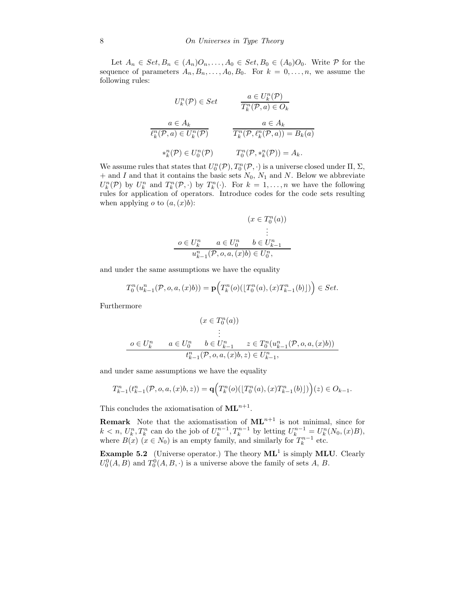Let  $A_n \in Set, B_n \in (A_n)O_n, \ldots, A_0 \in Set, B_0 \in (A_0)O_0$ . Write  $P$  for the sequence of parameters  $A_n, B_n, \ldots, A_0, B_0$ . For  $k = 0, \ldots, n$ , we assume the following rules:

$$
U_k^n(\mathcal{P}) \in Set \qquad \frac{a \in U_k^n(\mathcal{P})}{T_k^n(\mathcal{P}, a) \in O_k}
$$

$$
\frac{a \in A_k}{\ell_k^n(\mathcal{P}, a) \in U_k^n(\mathcal{P})} \qquad \frac{a \in A_k}{T_k^n(\mathcal{P}, \ell_k^n(\mathcal{P}, a)) = B_k(a)}
$$

$$
*_{k}^n(\mathcal{P}) \in U_0^n(\mathcal{P}) \qquad T_0^n(\mathcal{P}, *_{k}^n(\mathcal{P})) = A_k.
$$

We assume rules that states that  $U_0^n(\mathcal{P}), T_0^n(\mathcal{P}, \cdot)$  is a universe closed under  $\Pi$ ,  $\Sigma$ ,  $+$  and I and that it contains the basic sets  $N_0$ ,  $N_1$  and N. Below we abbreviate  $U_k^n(\mathcal{P})$  by  $U_k^n$  and  $T_k^n(\mathcal{P},\cdot)$  by  $T_k^n(\cdot)$ . For  $k=1,\ldots,n$  we have the following rules for application of operators. Introduce codes for the code sets resulting when applying  $o$  to  $(a,(x)b)$ :

$$
(x \in T_0^n(a))
$$
  
\n
$$
\vdots
$$
  
\n
$$
o \in U_k^n \qquad a \in U_0^n \qquad b \in U_{k-1}^n
$$
  
\n
$$
u_{k-1}^n(\mathcal{P}, o, a, (x)b) \in U_0^n,
$$

and under the same assumptions we have the equality

$$
T_0^n(u_{k-1}^n(\mathcal{P}, o, a, (x)b)) = \mathbf{p}\Big( T_k^n(o)(\lfloor T_0^n(a), (x)T_{k-1}^n(b)\rfloor)\Big) \in Set.
$$

Furthermore

$$
(x \in T_0^n(a))
$$
  
\n
$$
\vdots
$$
  
\n
$$
o \in U_k^n \qquad a \in U_0^n \qquad b \in U_{k-1}^n \qquad z \in T_0^n(u_{k-1}^n(\mathcal{P}, o, a, (x)b))
$$
  
\n
$$
t_{k-1}^n(\mathcal{P}, o, a, (x)b, z) \in U_{k-1}^n,
$$

and under same assumptions we have the equality

$$
T_{k-1}^n(t_{k-1}^n(\mathcal{P}, o, a, (x)b, z)) = \mathbf{q}\Big( T_k^n(o)(\lfloor T_0^n(a), (x)T_{k-1}^n(b)\rfloor)\Big)(z) \in O_{k-1}.
$$

This concludes the axiomatisation of  $ML^{n+1}$ .

**Remark** Note that the axiomatisation of  $ML^{n+1}$  is not minimal, since for  $k < n$ ,  $U_k^n, T_k^n$  can do the job of  $U_k^{n-1}, T_k^{n-1}$  by letting  $U_k^{n-1} = U_k^n(N_0, (x)B)$ , where  $B(x)$   $(x \in N_0)$  is an empty family, and similarly for  $T_k^{n-1}$  etc.

**Example 5.2** (Universe operator.) The theory  $ML^1$  is simply MLU. Clearly  $U_0^0(A, B)$  and  $T_0^0(A, B, \cdot)$  is a universe above the family of sets A, B.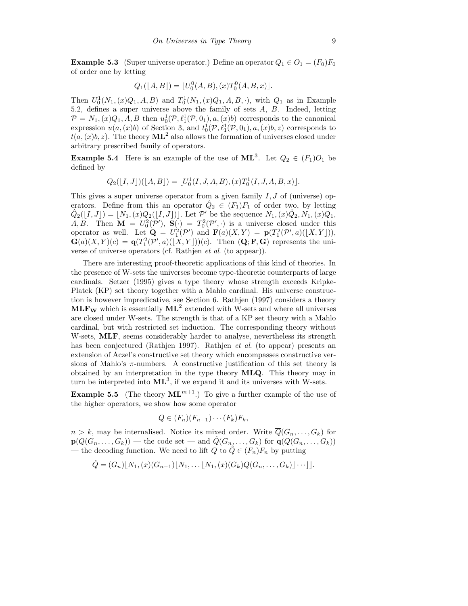**Example 5.3** (Super universe operator.) Define an operator  $Q_1 \in O_1 = (F_0)F_0$ of order one by letting

$$
Q_1([A, B]) = [U_0^0(A, B), (x)T_0^0(A, B, x)].
$$

Then  $U_0^1(N_1, (x)Q_1, A, B)$  and  $T_0^1(N_1, (x)Q_1, A, B, \cdot)$ , with  $Q_1$  as in Example 5.2, defines a super universe above the family of sets A, B. Indeed, letting  $\mathcal{P} = N_1, (x)Q_1, A, B$  then  $u_0^1(\mathcal{P}, \ell_1^1(\mathcal{P}, 0_1), a, (x)b)$  corresponds to the canonical expression  $u(a,(x)b)$  of Section 3, and  $t_0^1(\mathcal{P}, \ell_1^1(\mathcal{P}, 0_1), a, (x)b, z)$  corresponds to  $t(a,(x)b,z)$ . The theory  $\mathbf{ML}^2$  also allows the formation of universes closed under arbitrary prescribed family of operators.

**Example 5.4** Here is an example of the use of  $ML^3$ . Let  $Q_2 \in (F_1)O_1$  be defined by

$$
Q_2([I,J])([A,B]) = [U_0^1(I,J,A,B),(x)T_0^1(I,J,A,B,x)].
$$

This gives a super universe operator from a given family  $I, J$  of (universe) operators. Define from this an operator  $\hat{Q}_2 \in (F_1)F_1$  of order two, by letting  $\hat{Q}_2([I, J]) = [N_1, (x)Q_2([I, J])]$ . Let P' be the sequence  $N_1, (x)Q_2, N_1, (x)Q_1,$ A, B. Then  $\mathbf{M} = U_0^2(\mathcal{P}')$ ,  $\mathbf{S}(\cdot) = T_0^2(\mathcal{P}', \cdot)$  is a universe closed under this operator as well. Let  $\mathbf{Q} = U_1^2(\mathcal{P}')$  and  $\mathbf{F}(a)(X,Y) = \mathbf{p}(T_1^2(\mathcal{P}',a)([X,Y])),$  $\mathbf{G}(a)(X,Y)(c) = \mathbf{q}(T_1^2(\mathcal{P}',a)([X,Y]))(c)$ . Then  $(\mathbf{Q}; \mathbf{F}, \mathbf{G})$  represents the universe of universe operators (cf. Rathjen et al. (to appear)).

There are interesting proof-theoretic applications of this kind of theories. In the presence of W-sets the universes become type-theoretic counterparts of large cardinals. Setzer (1995) gives a type theory whose strength exceeds Kripke-Platek (KP) set theory together with a Mahlo cardinal. His universe construction is however impredicative, see Section 6. Rathjen (1997) considers a theory  $\text{MLF}_{\text{W}}$  which is essentially  $\text{ML}^2$  extended with W-sets and where all universes are closed under W-sets. The strength is that of a KP set theory with a Mahlo cardinal, but with restricted set induction. The corresponding theory without W-sets, **MLF**, seems considerably harder to analyse, nevertheless its strength has been conjectured (Rathjen 1997). Rathjen et al. (to appear) presents an extension of Aczel's constructive set theory which encompasses constructive versions of Mahlo's  $\pi$ -numbers. A constructive justification of this set theory is obtained by an interpretation in the type theory MLQ. This theory may in turn be interpreted into  $ML^3$ , if we expand it and its universes with W-sets.

**Example 5.5** (The theory  $ML^{m+1}$ .) To give a further example of the use of the higher operators, we show how some operator

$$
Q \in (F_n)(F_{n-1})\cdots (F_k)F_k,
$$

 $n > k$ , may be internalised. Notice its mixed order. Write  $\overline{Q}(G_n, \ldots, G_k)$  for  $p(Q(G_n, \ldots, G_k))$  — the code set — and  $\tilde{Q}(G_n, \ldots, G_k)$  for  $q(Q(G_n, \ldots, G_k))$ — the decoding function. We need to lift Q to  $\hat{Q} \in (F_n)F_n$  by putting

$$
\hat{Q} = (G_n) [N_1, (x) (G_{n-1}) [N_1, \dots [N_1, (x) (G_k) Q (G_n, \dots, G_k)] \dots ]].
$$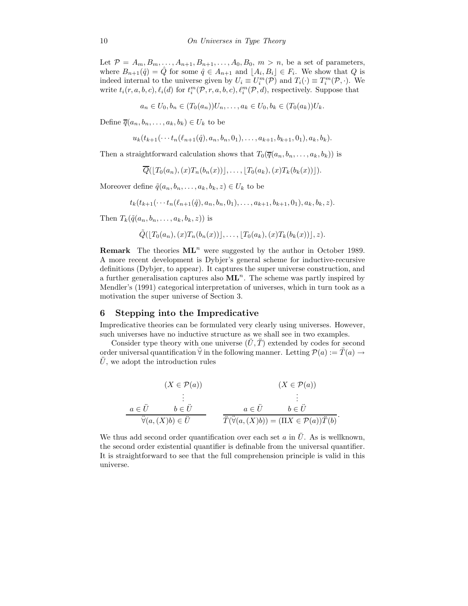Let  $P = A_m, B_m, \ldots, A_{n+1}, B_{n+1}, \ldots, A_0, B_0, m > n$ , be a set of parameters, where  $B_{n+1}(\hat{q}) = \hat{Q}$  for some  $\hat{q} \in A_{n+1}$  and  $[A_i, B_i] \in F_i$ . We show that Q is indeed internal to the universe given by  $U_i \equiv U_i^m(\mathcal{P})$  and  $T_i(\cdot) \equiv T_i^m(\mathcal{P}, \cdot)$ . We write  $t_i(r, a, b, c), \ell_i(d)$  for  $t_i^m(\mathcal{P}, r, a, b, c), \ell_i^m(\mathcal{P}, d)$ , respectively. Suppose that

 $a_n \in U_0, b_n \in (T_0(a_n))U_n, \ldots, a_k \in U_0, b_k \in (T_0(a_k))U_k.$ 

Define  $\overline{q}(a_n, b_n, \ldots, a_k, b_k) \in U_k$  to be

$$
u_k(t_{k+1}(\cdots t_n(\ell_{n+1}(\hat{q}),a_n,b_n,0_1),\ldots,a_{k+1},b_{k+1},0_1),a_k,b_k).
$$

Then a straightforward calculation shows that  $T_0(\overline{q}(a_n, b_n, \ldots, a_k, b_k))$  is

$$
\overline{Q}([T_0(a_n),(x)T_n(b_n(x))],\ldots,[T_0(a_k),(x)T_k(b_k(x))]).
$$

Moreover define  $\tilde{q}(a_n, b_n, \ldots, a_k, b_k, z) \in U_k$  to be

 $t_k(t_{k+1}(\cdots t_n(\ell_{n+1}(\hat{q}),a_n,b_n,0_1),\ldots,a_{k+1},b_{k+1},0_1),a_k,b_k,z).$ 

Then  $T_k(\tilde{q}(a_n, b_n, \ldots, a_k, b_k, z))$  is

$$
\tilde{Q}(\lfloor T_0(a_n), (x)T_n(b_n(x)) \rfloor, \ldots, \lfloor T_0(a_k), (x)T_k(b_k(x)) \rfloor, z).
$$

**Remark** The theories  $ML^n$  were suggested by the author in October 1989. A more recent development is Dybjer's general scheme for inductive-recursive definitions (Dybjer, to appear). It captures the super universe construction, and a further generalisation captures also  $ML<sup>n</sup>$ . The scheme was partly inspired by Mendler's (1991) categorical interpretation of universes, which in turn took as a motivation the super universe of Section 3.

#### 6 Stepping into the Impredicative

Impredicative theories can be formulated very clearly using universes. However, such universes have no inductive structure as we shall see in two examples.

Consider type theory with one universe  $(\tilde{U}, \tilde{T})$  extended by codes for second order universal quantification  $\forall$  in the following manner. Letting  $\mathcal{P}(a) := \hat{T}(a) \rightarrow$  $\ddot{U}$ , we adopt the introduction rules

$$
(X \in \mathcal{P}(a))
$$
  
\n
$$
\vdots
$$
  
\n
$$
\begin{array}{ccc}\n a \in \ddot{U} & b \in \ddot{U} & a \in \ddot{U} & b \in \ddot{U} \\
\ddot{\forall}(a,(X)b) \in \ddot{U} & & \overline{T(\ddot{\forall}(a,(X)b)) = (\Pi X \in \mathcal{P}(a))\ddot{T}(b)}.\n \end{array}
$$

We thus add second order quantification over each set a in  $\ddot{U}$ . As is wellknown, the second order existential quantifier is definable from the universal quantifier. It is straightforward to see that the full comprehension principle is valid in this universe.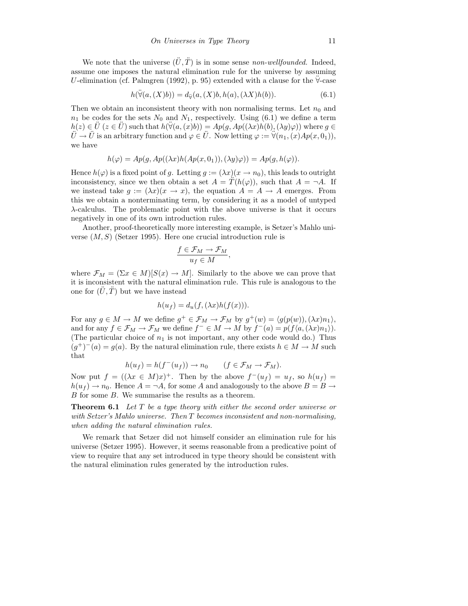We note that the universe  $(\ddot{U}, \ddot{T})$  is in some sense non-wellfounded. Indeed, assume one imposes the natural elimination rule for the universe by assuming U-elimination (cf. Palmgren (1992), p. 95) extended with a clause for the  $\forall$ -case

$$
h(\ddot{\forall}(a,(X)b)) = d_{\ddot{\forall}}(a,(X)b,h(a),(\lambda X)h(b)).\tag{6.1}
$$

Then we obtain an inconsistent theory with non normalising terms. Let  $n_0$  and  $n_1$  be codes for the sets  $N_0$  and  $N_1$ , respectively. Using (6.1) we define a term  $h(z) \in U$  ( $z \in U$ ) such that  $h(\forall (a, (x)b)) = Ap(g, Ap((\lambda x)h(b), (\lambda y)\varphi))$  where  $g \in$  $\ddot{U} \rightarrow \ddot{U}$  is an arbitrary function and  $\varphi \in \ddot{U}$ . Now letting  $\varphi := \ddot{\forall}(n_1,(x)Ap(x,0_1)),$ we have

$$
h(\varphi) = Ap(g, Ap((\lambda x)h(Ap(x, 0_1)), (\lambda y)\varphi)) = Ap(g, h(\varphi)).
$$

Hence  $h(\varphi)$  is a fixed point of g. Letting  $g := (\lambda x)(x \to n_0)$ , this leads to outright inconsistency, since we then obtain a set  $A = T(h(\varphi))$ , such that  $A = \neg A$ . If we instead take  $g := (\lambda x)(x \to x)$ , the equation  $A = A \to A$  emerges. From this we obtain a nonterminating term, by considering it as a model of untyped λ-calculus. The problematic point with the above universe is that it occurs negatively in one of its own introduction rules.

Another, proof-theoretically more interesting example, is Setzer's Mahlo universe  $(M, S)$  (Setzer 1995). Here one crucial introduction rule is

$$
\frac{f \in \mathcal{F}_M \to \mathcal{F}_M}{u_f \in M},
$$

where  $\mathcal{F}_M = (\Sigma x \in M)[S(x) \to M]$ . Similarly to the above we can prove that it is inconsistent with the natural elimination rule. This rule is analogous to the one for  $(\hat{U}, \hat{T})$  but we have instead

$$
h(u_f) = d_u(f, (\lambda x)h(f(x))).
$$

For any  $g \in M \to M$  we define  $g^+ \in \mathcal{F}_M \to \mathcal{F}_M$  by  $g^+(w) = \langle g(p(w)), (\lambda x) n_1 \rangle$ , and for any  $f \in \mathcal{F}_M \to \mathcal{F}_M$  we define  $f^- \in M \to M$  by  $f^-(a) = p(f\langle a, (\lambda x)n_1 \rangle)$ . (The particular choice of  $n_1$  is not important, any other code would do.) Thus  $(g^+)^-(a) = g(a)$ . By the natural elimination rule, there exists  $h \in M \to M$  such that

$$
h(u_f) = h(f^-(u_f)) \to n_0 \qquad (f \in \mathcal{F}_M \to \mathcal{F}_M).
$$

Now put  $f = ((\lambda x \in M)x)^+$ . Then by the above  $f^-(u_f) = u_f$ , so  $h(u_f) =$  $h(u_f) \to n_0$ . Hence  $A = \neg A$ , for some A and analogously to the above  $B = B \to$ B for some B. We summarise the results as a theorem.

**Theorem 6.1** Let  $T$  be a type theory with either the second order universe or with Setzer's Mahlo universe. Then T becomes inconsistent and non-normalising, when adding the natural elimination rules.

We remark that Setzer did not himself consider an elimination rule for his universe (Setzer 1995). However, it seems reasonable from a predicative point of view to require that any set introduced in type theory should be consistent with the natural elimination rules generated by the introduction rules.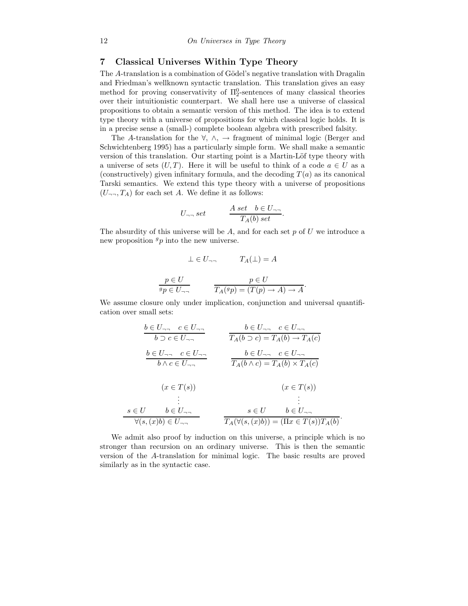## 7 Classical Universes Within Type Theory

The A-translation is a combination of Gödel's negative translation with Dragalin and Friedman's wellknown syntactic translation. This translation gives an easy method for proving conservativity of  $\Pi_2^0$ -sentences of many classical theories over their intuitionistic counterpart. We shall here use a universe of classical propositions to obtain a semantic version of this method. The idea is to extend type theory with a universe of propositions for which classical logic holds. It is in a precise sense a (small-) complete boolean algebra with prescribed falsity.

The A-translation for the  $\forall, \wedge, \rightarrow$  fragment of minimal logic (Berger and Schwichtenberg 1995) has a particularly simple form. We shall make a semantic version of this translation. Our starting point is a Martin-Löf type theory with a universe of sets  $(U, T)$ . Here it will be useful to think of a code  $a \in U$  as a (constructively) given infinitary formula, and the decoding  $T(a)$  as its canonical Tarski semantics. We extend this type theory with a universe of propositions  $(U_{\neg \neg}, T_A)$  for each set A. We define it as follows:

$$
U_{\neg\neg} set \qquad \frac{A \ set \quad b \in U_{\neg\neg}}{T_A(b) \ set}.
$$

The absurdity of this universe will be  $A$ , and for each set  $p$  of  $U$  we introduce a new proposition  $g_p$  into the new universe.

$$
\bot \in U_{\neg \neg} \qquad T_A(\bot) = A
$$

$$
\frac{p \in U}{^g p \in U_{\neg \neg}} \qquad \qquad \frac{p \in U}{T_A(^g p) = (T(p) \to A) \to A}.
$$

We assume closure only under implication, conjunction and universal quantification over small sets:

$$
\frac{b \in U_{\neg \neg} \quad c \in U_{\neg \neg}}{b \supset c \in U_{\neg \neg}} \qquad \frac{b \in U_{\neg \neg} \quad c \in U_{\neg \neg}}{T_A(b \supset c) = T_A(b) \rightarrow T_A(c)}
$$
\n
$$
\frac{b \in U_{\neg \neg} \quad c \in U_{\neg \neg}}{b \land c \in U_{\neg \neg}} \qquad \frac{b \in U_{\neg \neg} \quad c \in U_{\neg \neg}}{T_A(b \land c) = T_A(b) \times T_A(c)}
$$
\n
$$
(x \in T(s)) \qquad (x \in T(s))
$$
\n
$$
\vdots \qquad \vdots
$$
\n
$$
s \in U \qquad b \in U_{\neg \neg} \qquad s \in U \qquad b \in U_{\neg \neg}
$$
\n
$$
\forall (s, (x)b) \in U_{\neg \neg} \qquad \frac{s \in U \qquad b \in U_{\neg \neg}}{T_A(\forall (s, (x)b)) = (T_x \in T(s))T_A(b)}.
$$

We admit also proof by induction on this universe, a principle which is no stronger than recursion on an ordinary universe. This is then the semantic version of the A-translation for minimal logic. The basic results are proved similarly as in the syntactic case.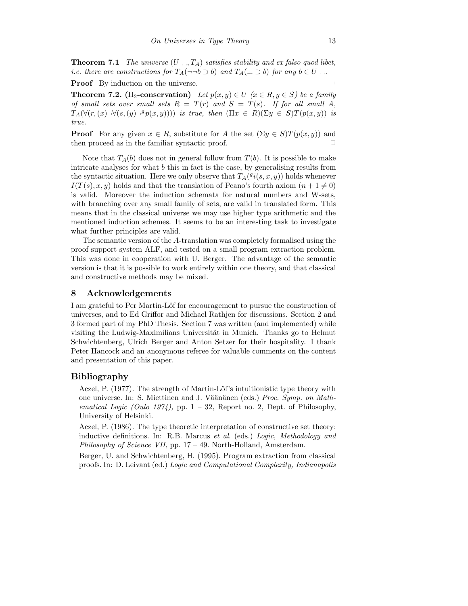**Theorem 7.1** The universe  $(U_{\neg \neg}, T_A)$  satisfies stability and ex falso quod libet, i.e. there are constructions for  $T_A(\neg\neg b \supset b)$  and  $T_A(\bot \supset b)$  for any  $b \in U_{\neg\neg}$ .

**Proof** By induction on the universe.

**Theorem 7.2.** ( $\Pi_2$ -conservation) Let  $p(x, y) \in U$  ( $x \in R, y \in S$ ) be a family of small sets over small sets  $R = T(r)$  and  $S = T(s)$ . If for all small A,  $T_A(\forall (r, (x) \neg \forall (s, (y) \neg^g p(x, y))))$  is true, then  $(\Pi x \in R)(\Sigma y \in S)T(p(x, y))$  is true.

**Proof** For any given  $x \in R$ , substitute for A the set  $(\Sigma y \in S)T(p(x, y))$  and then proceed as in the familiar syntactic proof.  $\Box$ 

Note that  $T_A(b)$  does not in general follow from  $T(b)$ . It is possible to make intricate analyses for what  $b$  this in fact is the case, by generalising results from the syntactic situation. Here we only observe that  $T_A({}^gi(s,x,y))$  holds whenever  $I(T(s), x, y)$  holds and that the translation of Peano's fourth axiom  $(n + 1 \neq 0)$ is valid. Moreover the induction schemata for natural numbers and W-sets, with branching over any small family of sets, are valid in translated form. This means that in the classical universe we may use higher type arithmetic and the mentioned induction schemes. It seems to be an interesting task to investigate what further principles are valid.

The semantic version of the A-translation was completely formalised using the proof support system ALF, and tested on a small program extraction problem. This was done in cooperation with U. Berger. The advantage of the semantic version is that it is possible to work entirely within one theory, and that classical and constructive methods may be mixed.

#### 8 Acknowledgements

I am grateful to Per Martin-Löf for encouragement to pursue the construction of universes, and to Ed Griffor and Michael Rathjen for discussions. Section 2 and 3 formed part of my PhD Thesis. Section 7 was written (and implemented) while visiting the Ludwig-Maximilians Universität in Munich. Thanks go to Helmut Schwichtenberg, Ulrich Berger and Anton Setzer for their hospitality. I thank Peter Hancock and an anonymous referee for valuable comments on the content and presentation of this paper.

### Bibliography

Aczel, P. (1977). The strength of Martin-Löf's intuitionistic type theory with one universe. In: S. Miettinen and J. Väänänen (eds.) Proc. Symp. on Mathematical Logic (Oulo 1974), pp.  $1 - 32$ , Report no. 2, Dept. of Philosophy, University of Helsinki.

Aczel, P. (1986). The type theoretic interpretation of constructive set theory: inductive definitions. In: R.B. Marcus et al. (eds.) Logic, Methodology and Philosophy of Science VII, pp. 17 – 49. North-Holland, Amsterdam.

Berger, U. and Schwichtenberg, H. (1995). Program extraction from classical proofs. In: D. Leivant (ed.) Logic and Computational Complexity, Indianapolis